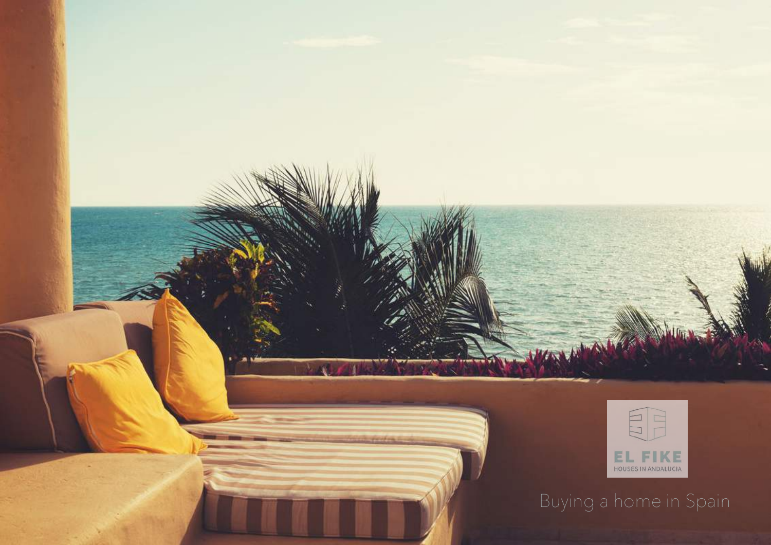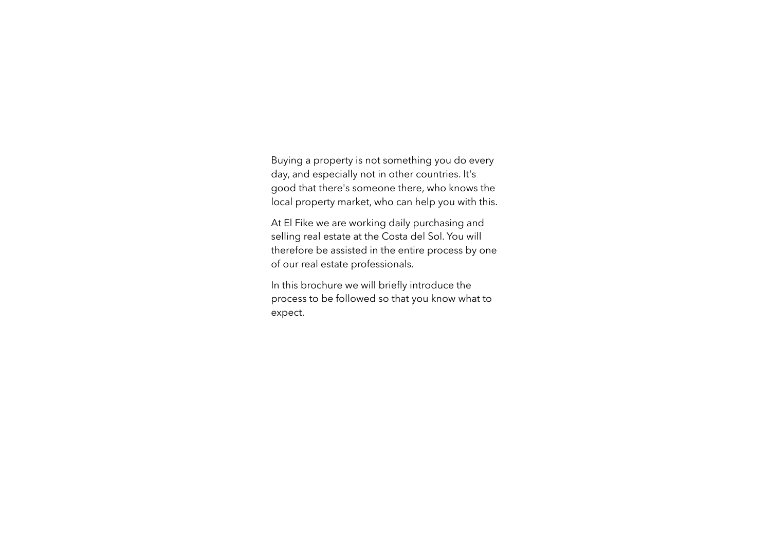Buying a property is not something you do every day, and especially not in other countries. It's good that there's someone there, who knows the local property market, who can help you with this.

At El Fike we are working daily purchasing and selling real estate at the Costa del Sol. You will therefore be assisted in the entire process by one of our real estate professionals.

In this brochure we will briefly introduce the process to be followed so that you know what to expect.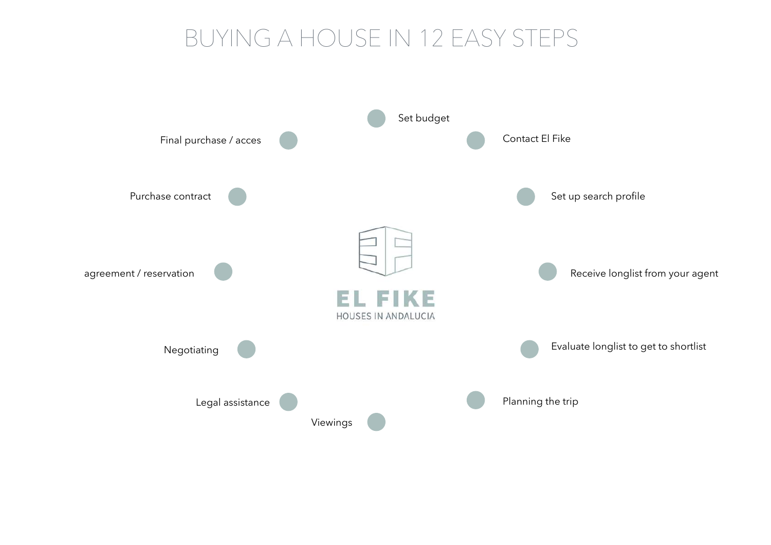# BUYING A HOUSE IN 12 EASY STEPS

![](_page_2_Figure_1.jpeg)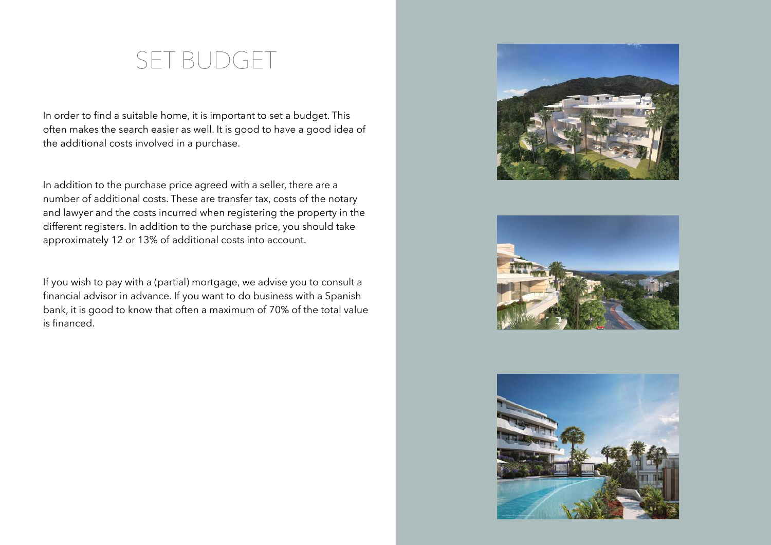#### SET BUDGET

In order to find a suitable home, it is important to set a budget. This often makes the search easier as well. It is good to have a good idea of the additional costs involved in a purchase.

In addition to the purchase price agreed with a seller, there are a number of additional costs. These are transfer tax, costs of the notary and lawyer and the costs incurred when registering the property in the different registers. In addition to the purchase price, you should take approximately 12 or 13% of additional costs into account.

If you wish to pay with a (partial) mortgage, we advise you to consult a financial advisor in advance. If you want to do business with a Spanish bank, it is good to know that often a maximum of 70% of the total value is financed.

![](_page_3_Picture_4.jpeg)

![](_page_3_Picture_5.jpeg)

![](_page_3_Picture_6.jpeg)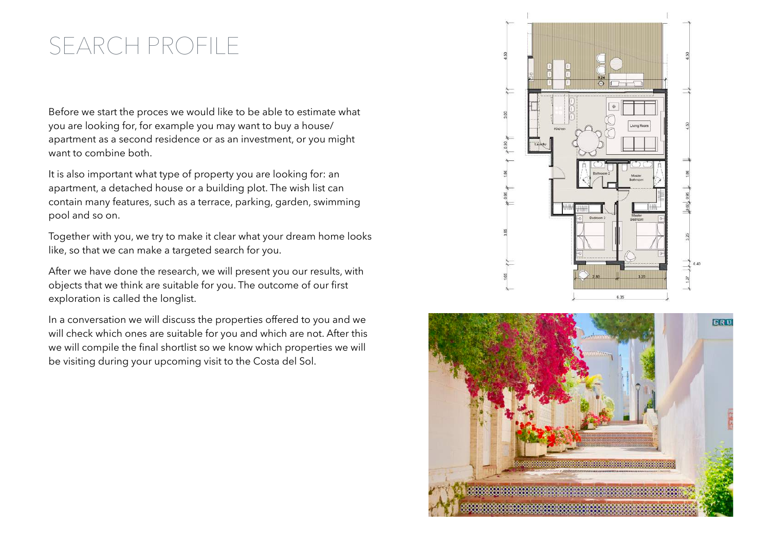# SEARCH PROFILE

Before we start the proces we would like to be able to estimate what you are looking for, for example you may want to buy a house/ apartment as a second residence or as an investment, or you might want to combine both.

It is also important what type of property you are looking for: an apartment, a detached house or a building plot. The wish list can contain many features, such as a terrace, parking, garden, swimming pool and so on.

Together with you, we try to make it clear what your dream home looks like, so that we can make a targeted search for you.

After we have done the research, we will present you our results, with objects that we think are suitable for you. The outcome of our first exploration is called the longlist.

In a conversation we will discuss the properties offered to you and we will check which ones are suitable for you and which are not. After this we will compile the final shortlist so we know which properties we will be visiting during your upcoming visit to the Costa del Sol.

![](_page_4_Figure_6.jpeg)

![](_page_4_Picture_7.jpeg)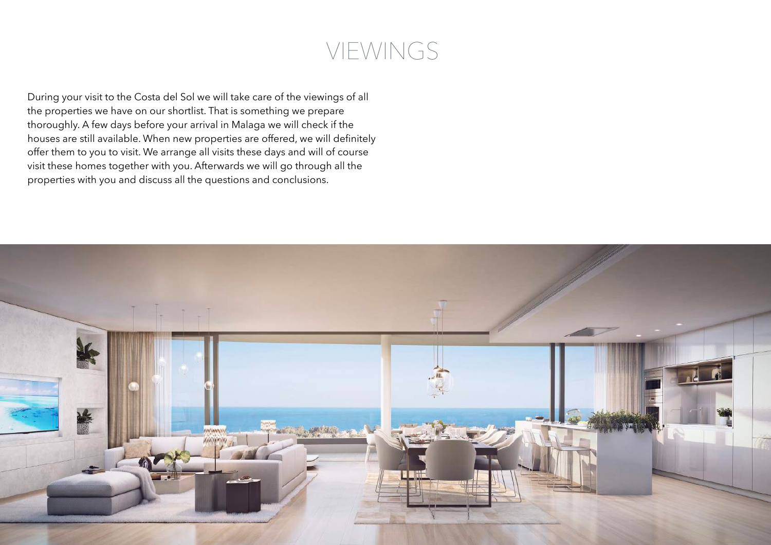## VIEWINGS

During your visit to the Costa del Sol we will take care of the viewings of all the properties we have on our shortlist. That is something we prepare thoroughly. A few days before your arrival in Malaga we will check if the houses are still available. When new properties are offered, we will definitely offer them to you to visit. We arrange all visits these days and will of course visit these homes together with you. Afterwards we will go through all the properties with you and discuss all the questions and conclusions.

![](_page_5_Picture_2.jpeg)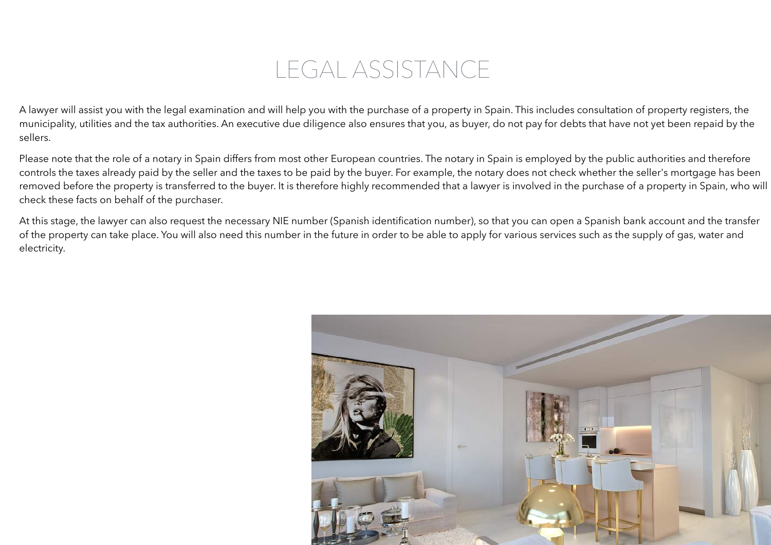## LEGAL ASSISTANCE

A lawyer will assist you with the legal examination and will help you with the purchase of a property in Spain. This includes consultation of property registers, the municipality, utilities and the tax authorities. An executive due diligence also ensures that you, as buyer, do not pay for debts that have not yet been repaid by the sellers.

Please note that the role of a notary in Spain differs from most other European countries. The notary in Spain is employed by the public authorities and therefore controls the taxes already paid by the seller and the taxes to be paid by the buyer. For example, the notary does not check whether the seller's mortgage has been removed before the property is transferred to the buyer. It is therefore highly recommended that a lawyer is involved in the purchase of a property in Spain, who will check these facts on behalf of the purchaser.

At this stage, the lawyer can also request the necessary NIE number (Spanish identification number), so that you can open a Spanish bank account and the transfer of the property can take place. You will also need this number in the future in order to be able to apply for various services such as the supply of gas, water and electricity.

![](_page_6_Picture_4.jpeg)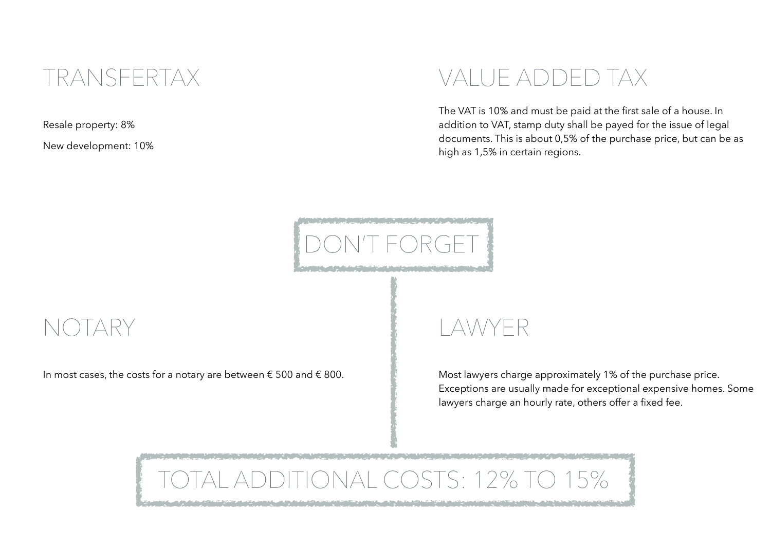#### TRANSFERTAX

Resale property: 8%

New development: 10%

## VALUE ADDED TAX

The VAT is 10% and must be paid at the first sale of a house. In addition to VAT, stamp duty shall be payed for the issue of legal documents. This is about 0,5% of the purchase price, but can be as high as 1,5% in certain regions.

![](_page_7_Picture_5.jpeg)

#### NOTARY

In most cases, the costs for a notary are between  $\epsilon$  500 and  $\epsilon$  800.

# LAWYER

Most lawyers charge approximately 1% of the purchase price. Exceptions are usually made for exceptional expensive homes. Some lawyers charge an hourly rate, others offer a fixed fee.

# ONAL COSTS: 12% TO 15%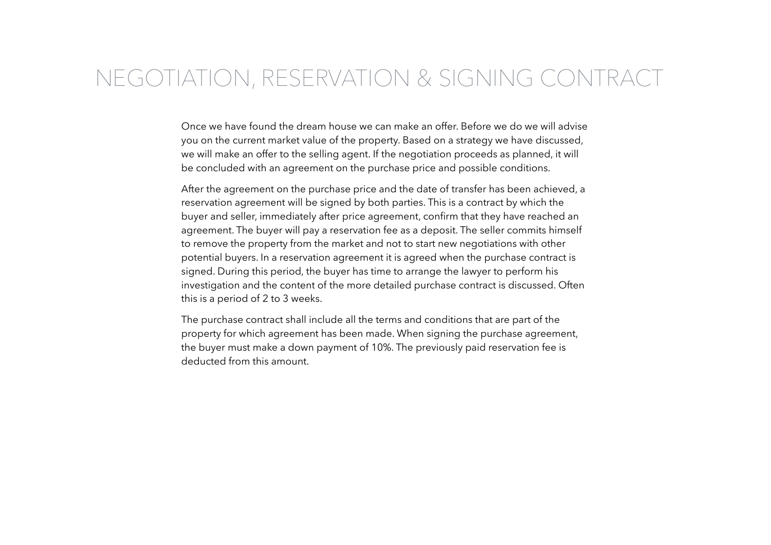#### NEGOTIATION, RESERVATION & SIGNING CONTRACT

Once we have found the dream house we can make an offer. Before we do we will advise you on the current market value of the property. Based on a strategy we have discussed, we will make an offer to the selling agent. If the negotiation proceeds as planned, it will be concluded with an agreement on the purchase price and possible conditions.

After the agreement on the purchase price and the date of transfer has been achieved, a reservation agreement will be signed by both parties. This is a contract by which the buyer and seller, immediately after price agreement, confirm that they have reached an agreement. The buyer will pay a reservation fee as a deposit. The seller commits himself to remove the property from the market and not to start new negotiations with other potential buyers. In a reservation agreement it is agreed when the purchase contract is signed. During this period, the buyer has time to arrange the lawyer to perform his investigation and the content of the more detailed purchase contract is discussed. Often this is a period of 2 to 3 weeks.

The purchase contract shall include all the terms and conditions that are part of the property for which agreement has been made. When signing the purchase agreement, the buyer must make a down payment of 10%. The previously paid reservation fee is deducted from this amount.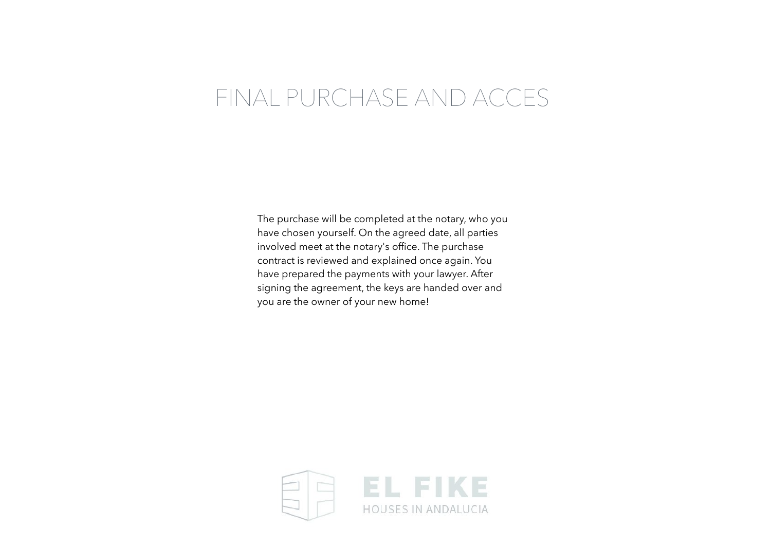## FINAL PURCHASE AND ACCES

The purchase will be completed at the notary, who you have chosen yourself. On the agreed date, all parties involved meet at the notary's office. The purchase contract is reviewed and explained once again. You have prepared the payments with your lawyer. After signing the agreement, the keys are handed over and you are the owner of your new home!

![](_page_9_Picture_2.jpeg)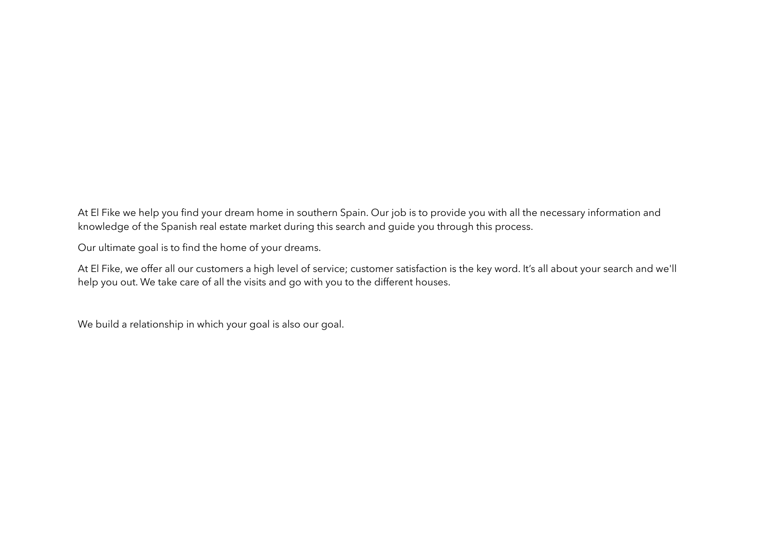At El Fike we help you find your dream home in southern Spain. Our job is to provide you with all the necessary information and knowledge of the Spanish real estate market during this search and guide you through this process.

Our ultimate goal is to find the home of your dreams.

At El Fike, we offer all our customers a high level of service; customer satisfaction is the key word. It's all about your search and we'll help you out. We take care of all the visits and go with you to the different houses.

We build a relationship in which your goal is also our goal.